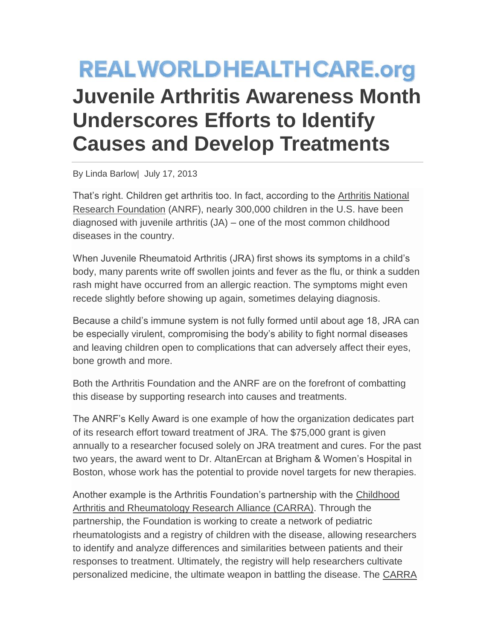## **REALWORLDHEALTHCARE.org Juvenile Arthritis Awareness Month Underscores Efforts to Identify Causes and Develop Treatments**

By Linda Barlow| July 17, 2013

That's right. Children get arthritis too. In fact, according to the [Arthritis National](http://www.curearthritis.org/juvenile-arthritis-awareness-month/)  [Research Foundation](http://www.curearthritis.org/juvenile-arthritis-awareness-month/) (ANRF), nearly 300,000 children in the U.S. have been diagnosed with juvenile arthritis (JA) – one of the most common childhood diseases in the country.

When Juvenile Rheumatoid Arthritis (JRA) first shows its symptoms in a child's body, many parents write off swollen joints and fever as the flu, or think a sudden rash might have occurred from an allergic reaction. The symptoms might even recede slightly before showing up again, sometimes delaying diagnosis.

Because a child's immune system is not fully formed until about age 18, JRA can be especially virulent, compromising the body's ability to fight normal diseases and leaving children open to complications that can adversely affect their eyes, bone growth and more.

Both the Arthritis Foundation and the ANRF are on the forefront of combatting this disease by supporting research into causes and treatments.

The ANRF's Kelly Award is one example of how the organization dedicates part of its research effort toward treatment of JRA. The \$75,000 grant is given annually to a researcher focused solely on JRA treatment and cures. For the past two years, the award went to Dr. AltanErcan at Brigham & Women's Hospital in Boston, whose work has the potential to provide novel targets for new therapies.

Another example is the Arthritis Foundation's partnership with the [Childhood](https://www.carragroup.org/)  Arthritis and [Rheumatology Research Alliance \(CARRA\).](https://www.carragroup.org/) Through the partnership, the Foundation is working to create a network of pediatric rheumatologists and a registry of children with the disease, allowing researchers to identify and analyze differences and similarities between patients and their responses to treatment. Ultimately, the registry will help researchers cultivate personalized medicine, the ultimate weapon in battling the disease. The [CARRA](https://carranetwork.org/)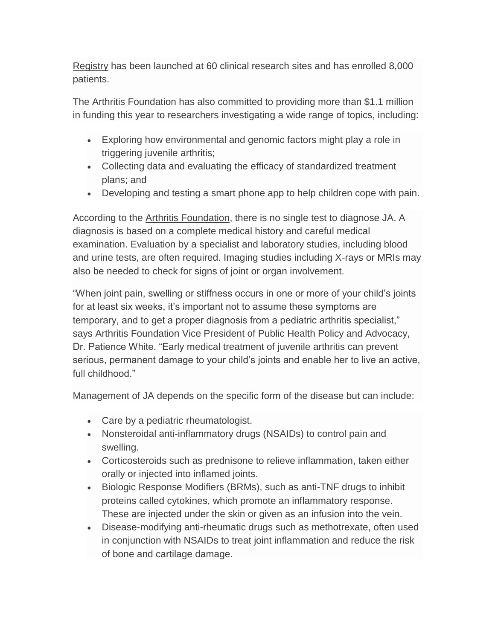Registry has been launched at 60 clinical research sites and has enrolled 8,000 patients.

The Arthritis Foundation has also committed to providing more than \$1.1 million in funding this year to researchers investigating a wide range of topics, including:

- Exploring how environmental and genomic factors might play a role in triggering juvenile arthritis;
- Collecting data and evaluating the efficacy of standardized treatment plans; and
- Developing and testing a smart phone app to help children cope with pain.

According to the [Arthritis Foundation,](http://www.arthritis.org/) there is no single test to diagnose JA. A diagnosis is based on a complete medical history and careful medical examination. Evaluation by a specialist and laboratory studies, including blood and urine tests, are often required. Imaging studies including X-rays or MRIs may also be needed to check for signs of joint or organ involvement.

"When joint pain, swelling or stiffness occurs in one or more of your child's joints for at least six weeks, it's important not to assume these symptoms are temporary, and to get a proper diagnosis from a pediatric arthritis specialist," says Arthritis Foundation Vice President of Public Health Policy and Advocacy, Dr. Patience White. "Early medical treatment of juvenile arthritis can prevent serious, permanent damage to your child's joints and enable her to live an active, full childhood."

Management of JA depends on the specific form of the disease but can include:

- Care by a pediatric rheumatologist.
- Nonsteroidal anti-inflammatory drugs (NSAIDs) to control pain and swelling.
- Corticosteroids such as prednisone to relieve inflammation, taken either orally or injected into inflamed joints.
- Biologic Response Modifiers (BRMs), such as anti-TNF drugs to inhibit proteins called cytokines, which promote an inflammatory response. These are injected under the skin or given as an infusion into the vein.
- Disease-modifying anti-rheumatic drugs such as methotrexate, often used in conjunction with NSAIDs to treat joint inflammation and reduce the risk of bone and cartilage damage.